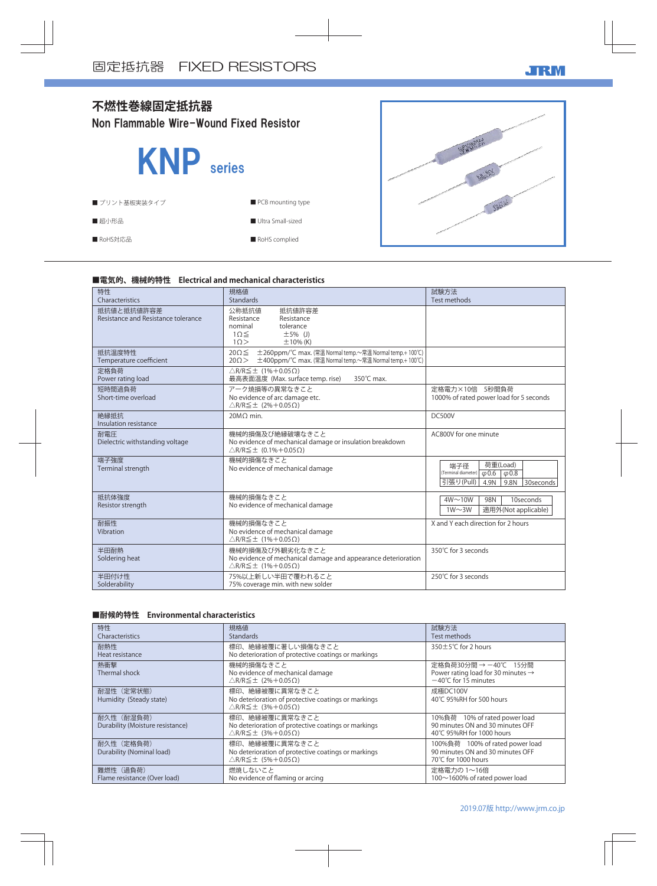



### **■電気的、機械的特性 Electrical and mechanical characteristics**

| 特性<br>Characteristics                             | 規格値<br>Standards                                                                                                                                  | 試験方法<br>Test methods                                                                                            |
|---------------------------------------------------|---------------------------------------------------------------------------------------------------------------------------------------------------|-----------------------------------------------------------------------------------------------------------------|
| 抵抗値と抵抗値許容差<br>Resistance and Resistance tolerance | 公称抵抗值<br>抵抗値許容差<br>Resistance<br>Resistance<br>tolerance<br>nominal<br>$1\Omega \leq$<br>$\pm 5\%$ (J)<br>10><br>$\pm$ 10% (K)                    |                                                                                                                 |
| 抵抗温度特性<br>Temperature coefficient                 | ±260ppm/℃ max. (常温 Normal temp.~常温 Normal temp.+100℃)<br>$20\Omega \leq$<br>±400ppm/℃ max. (常温 Normal temp.~常温 Normal temp.+ 100℃)<br>$20 \Omega$ |                                                                                                                 |
| 定格負荷<br>Power rating load                         | $\triangle$ R/R $\leq$ ± (1%+0.05 $\Omega$ )<br>最高表面温度 (Max. surface temp. rise)<br>350°C max.                                                    |                                                                                                                 |
| 短時間過負荷<br>Short-time overload                     | アーク焼損等の異常なきこと<br>No evidence of arc damage etc.<br>$\triangle$ R/R $\leq$ ± (2%+0.05 $\Omega$ )                                                   | 定格電力×10倍 5秒間負荷<br>1000% of rated power load for 5 seconds                                                       |
| 絶縁抵抗<br>Insulation resistance                     | 20MO min.                                                                                                                                         | <b>DC500V</b>                                                                                                   |
| 耐電圧<br>Dielectric withstanding voltage            | 機械的損傷及び絶縁破壊なきこと<br>No evidence of mechanical damage or insulation breakdown<br>$\triangle$ R/R $\leq$ ± (0.1%+0.05 $\Omega$ )                     | AC800V for one minute                                                                                           |
| 端子強度<br>Terminal strength                         | 機械的損傷なきこと<br>No evidence of mechanical damage                                                                                                     | 荷重(Load)<br>端子径<br>(Terminal diameter)<br>$\varphi$ 0.6 $\varphi$ 0.8<br>引張り(Pull)<br>9.8N<br>30seconds<br>4.9N |
| 抵抗体強度<br>Resistor strength                        | 機械的損傷なきこと<br>No evidence of mechanical damage                                                                                                     | $4W \sim 10W$<br>98N<br>10seconds<br>$1W\sim3W$<br>適用外(Not applicable)                                          |
| 耐振性<br>Vibration                                  | 機械的損傷なきこと<br>No evidence of mechanical damage<br>$\triangle$ R/R $\leq$ ± (1%+0.05 $\Omega$ )                                                     | X and Y each direction for 2 hours                                                                              |
| 半田耐熱<br>Soldering heat                            | 機械的損傷及び外観劣化なきこと<br>No evidence of mechanical damage and appearance deterioration<br>$\triangle$ R/R $\leq$ ± (1%+0.05 $\Omega$ )                  | 350℃ for 3 seconds                                                                                              |
| 半田付け性<br>Solderability                            | 75%以上新しい半田で覆われること<br>75% coverage min. with new solder                                                                                            | 250℃ for 3 seconds                                                                                              |

### **■耐候的特性 Environmental characteristics**

| 特性<br>Characteristics                          | 規格値<br><b>Standards</b>                                                                                               | 試験方法<br>Test methods                                                                                     |
|------------------------------------------------|-----------------------------------------------------------------------------------------------------------------------|----------------------------------------------------------------------------------------------------------|
| 耐熱性<br>Heat resistance                         | 標印、絶縁被覆に著しい損傷なきこと<br>No deterioration of protective coatings or markings                                              | 350±5°C for 2 hours                                                                                      |
| 熱衝撃<br>Thermal shock                           | 機械的損傷なきこと<br>No evidence of mechanical damage<br>$\triangle$ R/R $\leq$ ± (2%+0.05 $\Omega$ )                         | 定格負荷30分間 → −40℃ 15分間<br>Power rating load for 30 minutes $\rightarrow$<br>$-40^{\circ}$ C for 15 minutes |
| 耐湿性 (定常状態)<br>Humidity (Steady state)          | 標印、絶縁被覆に異常なきこと<br>No deterioration of protective coatings or markings<br>$\triangle$ R/R $\leq$ ± (3%+0.05 $\Omega$ ) | 成極DC100V<br>40°C 95%RH for 500 hours                                                                     |
| 耐久性 (耐湿負荷)<br>Durability (Moisture resistance) | 標印、絶縁被覆に異常なきこと<br>No deterioration of protective coatings or markings<br>$\triangle$ R/R $\leq$ ± (3%+0.05 $\Omega$ ) | 10%負荷 10% of rated power load<br>90 minutes ON and 30 minutes OFF<br>40°C 95%RH for 1000 hours           |
| 耐久性 (定格負荷)<br>Durability (Nominal load)        | 標印、絶縁被覆に異常なきこと<br>No deterioration of protective coatings or markings<br>$\triangle$ R/R $\leq$ ± (5%+0.05 $\Omega$ ) | 100%負荷 100% of rated power load<br>90 minutes ON and 30 minutes OFF<br>70°C for 1000 hours               |
| 難燃性 (過負荷)<br>Flame resistance (Over load)      | 燃焼しないこと<br>No evidence of flaming or arcing                                                                           | 定格電力の 1~16倍<br>100~1600% of rated power load                                                             |